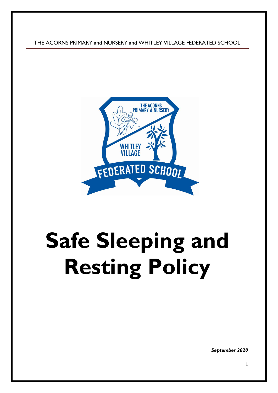THE ACORNS PRIMARY and NURSERY and WHITLEY VILLAGE FEDERATED SCHOOL



# **Safe Sleeping and Resting Policy**

*September 2020*

1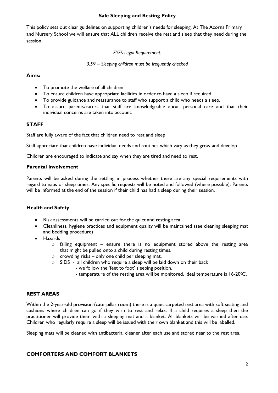# **Safe Sleeping and Resting Policy**

This policy sets out clear guidelines on supporting children's needs for sleeping. At The Acorns Primary and Nursery School we will ensure that ALL children receive the rest and sleep that they need during the session.

*EYFS Legal Requirement:*

*3.59 – Sleeping children must be frequently checked*

#### **Aims:**

- To promote the welfare of all children
- To ensure children have appropriate facilities in order to have a sleep if required.
- To provide guidance and reassurance to staff who support a child who needs a sleep.
- To assure parents/carers that staff are knowledgeable about personal care and that their individual concerns are taken into account.

# **STAFF**

Staff are fully aware of the fact that children need to rest and sleep

Staff appreciate that children have individual needs and routines which vary as they grow and develop

Children are encouraged to indicate and say when they are tired and need to rest.

#### **Parental Involvement**

Parents will be asked during the settling in process whether there are any special requirements with regard to naps or sleep times. Any specific requests will be noted and followed (where possible). Parents will be informed at the end of the session if their child has had a sleep during their session.

# **Health and Safety**

- Risk assessments will be carried out for the quiet and resting area
- Cleanliness, hygiene practices and equipment quality will be maintained (see cleaning sleeping mat and bedding procedure)
- Hazards
	- o falling equipment ensure there is no equipment stored above the resting area that might be pulled onto a child during resting times.
	- $\circ$  crowding risks only one child per sleeping mat.
	- o SIDS all children who require a sleep will be laid down on their back
		- we follow the 'feet to foot' sleeping position.
			- temperature of the resting area will be monitored, ideal temperature is 16-20°C.

# **REST AREAS**

Within the 2-year-old provision (caterpillar room) there is a quiet carpeted rest area with soft seating and cushions where children can go if they wish to rest and relax. If a child requires a sleep then the practitioner will provide them with a sleeping mat and a blanket. All blankets will be washed after use. Children who regularly require a sleep will be issued with their own blanket and this will be labelled.

Sleeping mats will be cleaned with antibacterial cleaner after each use and stored near to the rest area.

# **COMFORTERS AND COMFORT BLANKETS**